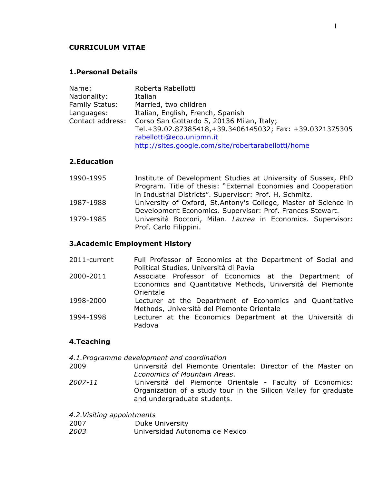#### **CURRICULUM VITAE**

### **1.Personal Details**

| Name:                 | Roberta Rabellotti                                      |
|-----------------------|---------------------------------------------------------|
| Nationality:          | Italian                                                 |
| <b>Family Status:</b> | Married, two children                                   |
| Languages:            | Italian, English, French, Spanish                       |
| Contact address:      | Corso San Gottardo 5, 20136 Milan, Italy;               |
|                       | Tel.+39.02.87385418,+39.3406145032; Fax: +39.0321375305 |
|                       | rabellotti@eco.unipmn.it                                |
|                       | http://sites.google.com/site/robertarabellotti/home     |

# **2.Education**

| 1990-1995 | Institute of Development Studies at University of Sussex, PhD   |
|-----------|-----------------------------------------------------------------|
|           | Program. Title of thesis: "External Economies and Cooperation   |
|           | in Industrial Districts". Supervisor: Prof. H. Schmitz.         |
| 1987-1988 | University of Oxford, St.Antony's College, Master of Science in |
|           | Development Economics. Supervisor: Prof. Frances Stewart.       |
| 1979-1985 | Università Bocconi, Milan. Laurea in Economics. Supervisor:     |
|           | Prof. Carlo Filippini.                                          |

#### **3.Academic Employment History**

| 2011-current | Full Professor of Economics at the Department of Social and |
|--------------|-------------------------------------------------------------|
|              | Political Studies, Università di Pavia                      |
| 2000-2011    | Associate Professor of Economics at the Department of       |
|              | Economics and Quantitative Methods, Università del Piemonte |
|              | Orientale                                                   |
| 1998-2000    | Lecturer at the Department of Economics and Quantitative    |
|              | Methods, Università del Piemonte Orientale                  |
| 1994-1998    | Lecturer at the Economics Department at the Università di   |
|              | Padova                                                      |

#### **4.Teaching**

*4.1.Programme development and coordination*

- 2009 Università del Piemonte Orientale: Director of the Master on *Economics of Mountain Areas*.
- *2007-11* Università del Piemonte Orientale Faculty of Economics: Organization of a study tour in the Silicon Valley for graduate and undergraduate students.

*4.2.Visiting appointments*

| 2007<br>Duke University |
|-------------------------|
|-------------------------|

*2003* Universidad Autonoma de Mexico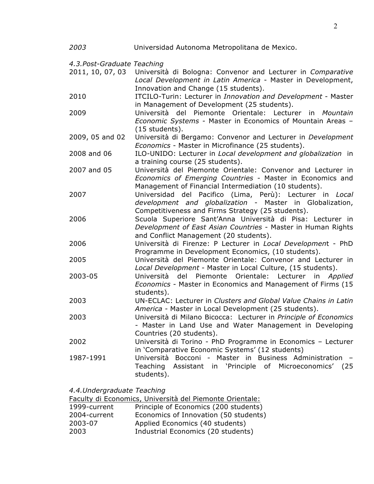| 2003                        | Universidad Autonoma Metropolitana de Mexico.                                                                                                                                     |
|-----------------------------|-----------------------------------------------------------------------------------------------------------------------------------------------------------------------------------|
| 4.3. Post-Graduate Teaching |                                                                                                                                                                                   |
| 2011, 10, 07, 03            | Università di Bologna: Convenor and Lecturer in Comparative<br>Local Development in Latin America - Master in Development,<br>Innovation and Change (15 students).                |
| 2010                        | ITCILO-Turin: Lecturer in Innovation and Development - Master<br>in Management of Development (25 students).                                                                      |
| 2009                        | Università del Piemonte Orientale: Lecturer in Mountain<br>Economic Systems - Master in Economics of Mountain Areas -<br>(15 students).                                           |
| 2009, 05 and 02             | Università di Bergamo: Convenor and Lecturer in Development<br>Economics - Master in Microfinance (25 students).                                                                  |
| 2008 and 06                 | ILO-UNIDO: Lecturer in Local development and globalization in<br>a training course (25 students).                                                                                 |
| 2007 and 05                 | Università del Piemonte Orientale: Convenor and Lecturer in<br>Economics of Emerging Countries - Master in Economics and<br>Management of Financial Intermediation (10 students). |
| 2007                        | Universidad del Pacifico (Lima, Perù): Lecturer in Local<br>development and globalization - Master in Globalization,<br>Competitiveness and Firms Strategy (25 students).         |
| 2006                        | Scuola Superiore Sant'Anna Università di Pisa: Lecturer in<br>Development of East Asian Countries - Master in Human Rights<br>and Conflict Management (20 students).              |
| 2006                        | Università di Firenze: P Lecturer in Local Development - PhD<br>Programme in Development Economics, (10 students).                                                                |
| 2005                        | Università del Piemonte Orientale: Convenor and Lecturer in<br>Local Development - Master in Local Culture, (15 students).                                                        |
| 2003-05                     | Università del Piemonte Orientale: Lecturer in Applied<br>Economics - Master in Economics and Management of Firms (15<br>students).                                               |
| 2003                        | UN-ECLAC: Lecturer in Clusters and Global Value Chains in Latin<br>America - Master in Local Development (25 students).                                                           |
| 2003                        | Università di Milano Bicocca: Lecturer in Principle of Economics<br>- Master in Land Use and Water Management in Developing<br>Countries (20 students).                           |
| 2002                        | Università di Torino - PhD Programme in Economics - Lecturer<br>in 'Comparative Economic Systems' (12 students)                                                                   |
| 1987-1991                   | Università Bocconi - Master in Business Administration<br>Teaching Assistant in 'Principle of Microeconomics' (25<br>students).                                                   |
| 4.4. Undergraduate Teaching | Faculty di Economics, Università del Piemonte Orientale:                                                                                                                          |
| 1999-current                | Principle of Economics (200 students)                                                                                                                                             |
| 2004-current                | Economics of Innovation (50 students)                                                                                                                                             |

|              | Faculty di Economics, Università del Piemonte Orientale: |
|--------------|----------------------------------------------------------|
| 1999-current | Principle of Economics (200 students)                    |
| 2004-current | Economics of Innovation (50 students                     |
| 2003-07      | Applied Economics (40 students)                          |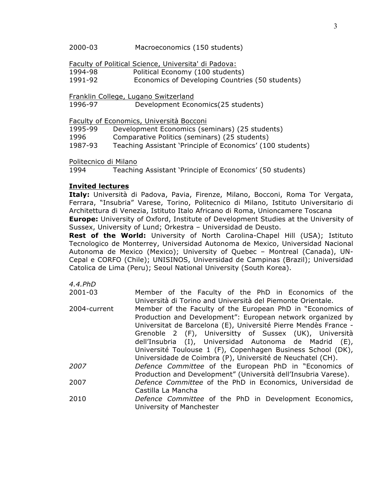Faculty of Political Science, Universita' di Padova:

1994-98 Political Economy (100 students)

1991-92 Economics of Developing Countries (50 students)

Franklin College, Lugano Switzerland<br>1996-97 Development Ecor Development Economics(25 students)

Faculty of Economics, Università Bocconi

1995-99 Development Economics (seminars) (25 students)

1996 Comparative Politics (seminars) (25 students)

1987-93 Teaching Assistant 'Principle of Economics' (100 students)

Politecnico di Milano

1994 Teaching Assistant 'Principle of Economics' (50 students)

# **Invited lectures**

**Italy:** Università di Padova, Pavia, Firenze, Milano, Bocconi, Roma Tor Vergata, Ferrara, "Insubria" Varese, Torino, Politecnico di Milano, Istituto Universitario di Architettura di Venezia, Istituto Italo Africano di Roma, Unioncamere Toscana **Europe:** University of Oxford, Institute of Development Studies at the University of

Sussex, University of Lund; Orkestra – Universidad de Deusto.

**Rest of the World:** University of North Carolina-Chapel Hill (USA); Istituto Tecnologico de Monterrey, Universidad Autonoma de Mexico, Universidad Nacional Autonoma de Mexico (Mexico); University of Quebec – Montreal (Canada), UN-Cepal e CORFO (Chile); UNISINOS, Universidad de Campinas (Brazil); Universidad Catolica de Lima (Peru); Seoul National University (South Korea).

*4.4.PhD*  2001-03 Member of the Faculty of the PhD in Economics of the Università di Torino and Università del Piemonte Orientale. 2004-current Member of the Faculty of the European PhD in "Economics of Production and Development": European network organized by Universitat de Barcelona (E), Université Pierre Mendès France - Grenoble 2 (F), Universitty of Sussex (UK), Università dell'Insubria (I), Universidad Autonoma de Madrid (E), Université Toulouse 1 (F), Copenhagen Business School (DK), Universidade de Coimbra (P), Université de Neuchatel (CH). *2007 Defence Committee* of the European PhD in "Economics of Production and Development" (Università dell'Insubria Varese). 2007 *Defence Committee* of the PhD in Economics, Universidad de Castilla La Mancha 2010 *Defence Committee* of the PhD in Development Economics, University of Manchester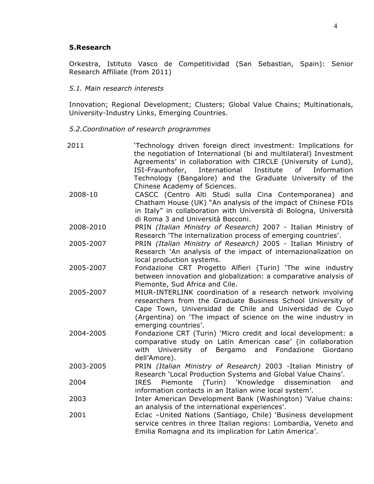## **5.Research**

Orkestra, Istituto Vasco de Competitividad (San Sebastian, Spain): Senior Research Affiliate (from 2011)

*5.1. Main research interests*

Innovation; Regional Development; Clusters; Global Value Chains; Multinationals, University-Industry Links, Emerging Countries.

*5.2.Coordination of research programmes*

| 2011      | 'Technology driven foreign direct investment: Implications for<br>the negotiation of International (bi and multilateral) Investment<br>Agreements' in collaboration with CIRCLE (University of Lund),<br>ISI-Fraunhofer,<br>International<br>of the control of the control of the control of the control of the control of the control of the control of th<br>Separate control of the control of the control of the control of the control of the control of the control of t<br>Institute<br>Information |
|-----------|------------------------------------------------------------------------------------------------------------------------------------------------------------------------------------------------------------------------------------------------------------------------------------------------------------------------------------------------------------------------------------------------------------------------------------------------------------------------------------------------------------|
|           | Technology (Bangalore) and the Graduate University of the                                                                                                                                                                                                                                                                                                                                                                                                                                                  |
| 2008-10   | Chinese Academy of Sciences.<br>CASCC (Centro Alti Studi sulla Cina Contemporanea) and<br>Chatham House (UK) "An analysis of the impact of Chinese FDIs<br>in Italy" in collaboration with Università di Bologna, Università                                                                                                                                                                                                                                                                               |
| 2008-2010 | di Roma 3 and Università Bocconi.<br>PRIN (Italian Ministry of Research) 2007 - Italian Ministry of                                                                                                                                                                                                                                                                                                                                                                                                        |
| 2005-2007 | Research 'The internalization process of emerging countries'.<br>PRIN (Italian Ministry of Research) 2005 - Italian Ministry of<br>Research 'An analysis of the impact of internazionalization on<br>local production systems.                                                                                                                                                                                                                                                                             |
| 2005-2007 | Fondazione CRT Progetto Alfieri (Turin) 'The wine industry<br>between innovation and globalization: a comparative analysis of                                                                                                                                                                                                                                                                                                                                                                              |
| 2005-2007 | Piemonte, Sud Africa and Cile.<br>MIUR-INTERLINK coordination of a research network involving<br>researchers from the Graduate Business School University of<br>Cape Town, Universidad de Chile and Universidad de Cuyo<br>(Argentina) on 'The impact of science on the wine industry in<br>emerging countries'.                                                                                                                                                                                           |
| 2004-2005 | Fondazione CRT (Turin) 'Micro credit and local development: a<br>comparative study on Latin American case' (in collaboration<br>with University of Bergamo and<br>Fondazione<br>Giordano<br>dell'Amore).                                                                                                                                                                                                                                                                                                   |
| 2003-2005 | PRIN (Italian Ministry of Research) 2003 -Italian Ministry of<br>Research 'Local Production Systems and Global Value Chains'.                                                                                                                                                                                                                                                                                                                                                                              |
| 2004      | (Turin) 'Knowledge<br>dissemination<br><b>IRES</b><br>Piemonte<br>and<br>information contacts in an Italian wine local system'.                                                                                                                                                                                                                                                                                                                                                                            |
| 2003      | Inter American Development Bank (Washington) 'Value chains:<br>an analysis of the international experiences'.                                                                                                                                                                                                                                                                                                                                                                                              |
| 2001      | Eclac -United Nations (Santiago, Chile) 'Business development<br>service centres in three Italian regions: Lombardia, Veneto and<br>Emilia Romagna and its implication for Latin America'.                                                                                                                                                                                                                                                                                                                 |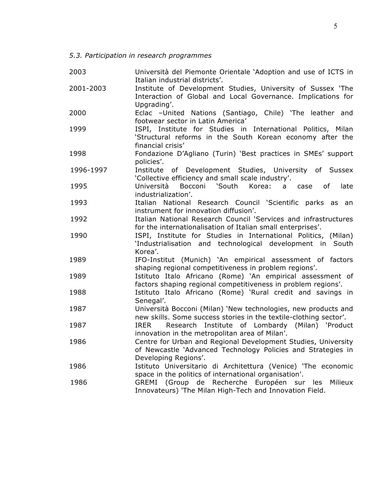*5.3. Participation in research programmes*

| 2003      | Università del Piemonte Orientale 'Adoption and use of ICTS in<br>Italian industrial districts'.                                                      |
|-----------|-------------------------------------------------------------------------------------------------------------------------------------------------------|
| 2001-2003 | Institute of Development Studies, University of Sussex 'The<br>Interaction of Global and Local Governance. Implications for<br>Upgrading'.            |
| 2000      | Eclac -United Nations (Santiago, Chile) 'The leather and<br>footwear sector in Latin America'                                                         |
| 1999      | ISPI, Institute for Studies in International Politics, Milan<br>'Structural reforms in the South Korean economy after the<br>financial crisis'        |
| 1998      | Fondazione D'Agliano (Turin) 'Best practices in SMEs' support<br>policies'.                                                                           |
| 1996-1997 | Institute of Development Studies, University of Sussex<br>'Collective efficiency and small scale industry'.                                           |
| 1995      | Bocconi<br>`South<br>Korea:<br>Università<br>of<br>late<br>a case<br>industrialization'.                                                              |
| 1993      | Italian National Research Council 'Scientific parks as an<br>instrument for innovation diffusion'.                                                    |
| 1992      | Italian National Research Council 'Services and infrastructures<br>for the internationalisation of Italian small enterprises'.                        |
| 1990      | ISPI, Institute for Studies in International Politics, (Milan)<br>'Industrialisation and technological development in South<br>Korea'.                |
| 1989      | IFO-Institut (Munich) 'An empirical assessment of factors<br>shaping regional competitiveness in problem regions'.                                    |
| 1989      | Istituto Italo Africano (Rome) 'An empirical assessment of<br>factors shaping regional competitiveness in problem regions'.                           |
| 1988      | Istituto Italo Africano (Rome) 'Rural credit and savings in<br>Senegal'.                                                                              |
| 1987      | Università Bocconi (Milan) 'New technologies, new products and<br>new skills. Some success stories in the textile-clothing sector'.                   |
| 1987      | Research Institute of Lombardy (Milan) 'Product<br><b>IRER</b><br>innovation in the metropolitan area of Milan'.                                      |
| 1986      | Centre for Urban and Regional Development Studies, University<br>of Newcastle 'Advanced Technology Policies and Strategies in<br>Developing Regions'. |
| 1986      | Istituto Universitario di Architettura (Venice) 'The economic<br>space in the politics of international organisation'.                                |
| 1986      | GREMI (Group de Recherche Européen sur<br>Milieux<br>les<br>Innovateurs) 'The Milan High-Tech and Innovation Field.                                   |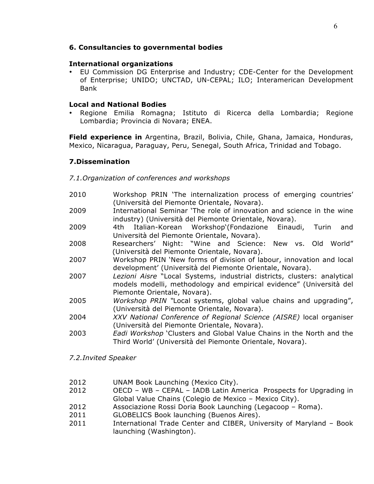# **6. Consultancies to governmental bodies**

## **International organizations**

• EU Commission DG Enterprise and Industry; CDE-Center for the Development of Enterprise; UNIDO; UNCTAD, UN-CEPAL; ILO; Interamerican Development Bank

## **Local and National Bodies**

• Regione Emilia Romagna; Istituto di Ricerca della Lombardia; Regione Lombardia; Provincia di Novara; ENEA.

**Field experience in** Argentina, Brazil, Bolivia, Chile, Ghana, Jamaica, Honduras, Mexico, Nicaragua, Paraguay, Peru, Senegal, South Africa, Trinidad and Tobago.

# **7.Dissemination**

## *7.1.Organization of conferences and workshops*

- 2010 Workshop PRIN 'The internalization process of emerging countries' (Università del Piemonte Orientale, Novara).
- 2009 International Seminar 'The role of innovation and science in the wine industry) (Università del Piemonte Orientale, Novara).
- 2009 4th Italian-Korean Workshop'(Fondazione Einaudi, Turin and Università del Piemonte Orientale, Novara).
- 2008 Researchers' Night: "Wine and Science: New vs. Old World" (Università del Piemonte Orientale, Novara).
- 2007 Workshop PRIN 'New forms of division of labour, innovation and local development' (Università del Piemonte Orientale, Novara).
- 2007 *Lezioni Aisre* "Local Systems, industrial districts, clusters: analytical models modelli, methodology and empirical evidence" (Università del Piemonte Orientale, Novara).
- 2005 *Workshop PRIN "*Local systems, global value chains and upgrading", (Università del Piemonte Orientale, Novara).
- 2004 *XXV National Conference of Regional Science (AISRE)* local organiser (Università del Piemonte Orientale, Novara).
- 2003 *Eadi Workshop* 'Clusters and Global Value Chains in the North and the Third World' (Università del Piemonte Orientale, Novara).

#### *7.2.Invited Speaker*

- 2012 UNAM Book Launching (Mexico City).
- 2012 OECD WB CEPAL IADB Latin America Prospects for Upgrading in Global Value Chains (Colegio de Mexico – Mexico City).
- 2012 Associazione Rossi Doria Book Launching (Legacoop Roma).
- 2011 GLOBELICS Book launching (Buenos Aires).
- 2011 International Trade Center and CIBER, University of Maryland Book launching (Washington).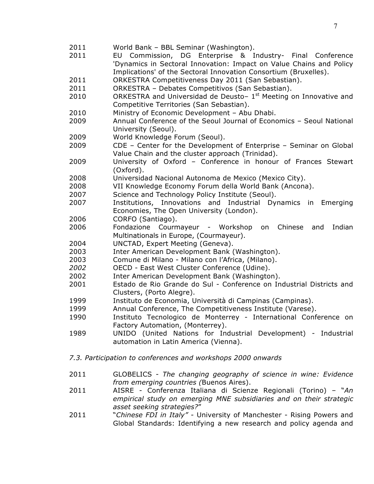- World Bank BBL Seminar (Washington).
- EU Commission, DG Enterprise & Industry- Final Conference 'Dynamics in Sectoral Innovation: Impact on Value Chains and Policy Implications' of the Sectoral Innovation Consortium (Bruxelles).
- ORKESTRA Competitiveness Day 2011 (San Sebastian).
- ORKESTRA Debates Competitivos (San Sebastian).
- 2010 ORKESTRA and Universidad de Deusto-  $1<sup>st</sup>$  Meeting on Innovative and Competitive Territories (San Sebastian).
- Ministry of Economic Development Abu Dhabi.
- Annual Conference of the Seoul Journal of Economics Seoul National University (Seoul).
- World Knowledge Forum (Seoul).
- CDE Center for the Development of Enterprise Seminar on Global Value Chain and the cluster approach (Trinidad).
- University of Oxford Conference in honour of Frances Stewart (Oxford).
- Universidad Nacional Autonoma de Mexico (Mexico City).
- VII Knowledge Economy Forum della World Bank (Ancona).
- Science and Technology Policy Institute (Seoul).
- Institutions, Innovations and Industrial Dynamics in Emerging Economies, The Open University (London).
- CORFO (Santiago).
- Fondazione Courmayeur Workshop on Chinese and Indian Multinationals in Europe, (Courmayeur).
- UNCTAD, Expert Meeting (Geneva).
- Inter American Development Bank (Washington).
- Comune di Milano Milano con l'Africa, (Milano).
- OECD East West Cluster Conference (Udine).
- Inter American Development Bank (Washington).
- Estado de Rio Grande do Sul Conference on Industrial Districts and Clusters, (Porto Alegre).
- Instituto de Economia, Università di Campinas (Campinas).
- Annual Conference, The Competitiveness Institute (Varese).
- Instituto Tecnologico de Monterrey International Conference on Factory Automation, (Monterrey).
- UNIDO (United Nations for Industrial Development) Industrial automation in Latin America (Vienna).
- *7.3. Participation to conferences and workshops 2000 onwards*
- GLOBELICS *The changing geography of science in wine: Evidence from emerging countries (*Buenos Aires).
- AISRE Conferenza Italiana di Scienze Regionali (Torino) "*An empirical study on emerging MNE subsidiaries and on their strategic asset seeking strategies?*"
- "*Chinese FDI in Italy" -* University of Manchester Rising Powers and Global Standards: Identifying a new research and policy agenda and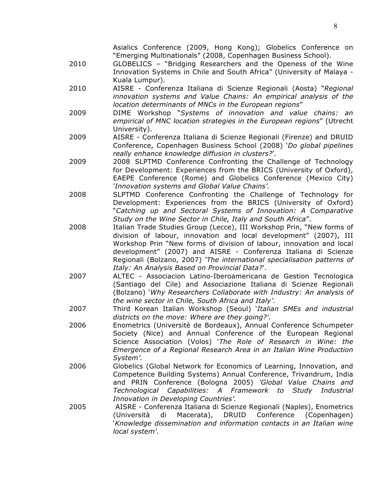- 2010 GLOBELICS "Bridging Researchers and the Openess of the Wine Innovation Systems in Chile and South Africa" (University of Malaya - Kuala Lumpur).
- 2010 AISRE Conferenza Italiana di Scienze Regionali (Aosta) "*Regional innovation systems and Value Chains: An empirical analysis of the location determinants of MNCs in the European regions*"
- 2009 DIME Workshop "*Systems of innovation and value chains: an empirical of MNC location strategies in the European regions*" (Utrecht University).
- 2009 AISRE Conferenza Italiana di Scienze Regionali (Firenze) and DRUID Conference, Copenhagen Business School (2008) '*Do global pipelines really enhance knowledge diffusion in clusters?*'.
- 2009 2008 SLPTMD Conference Confronting the Challenge of Technology for Development: Experiences from the BRICS (University of Oxford), EAEPE Conference (Rome) and Globelics Conference (Mexico City) *'Innovation systems and Global Value Chains'.*
- 2008 SLPTMD Conference Confronting the Challenge of Technology for Development: Experiences from the BRICS (University of Oxford) "*Catching up and Sectoral Systems of Innovation: A Comparative Study on the Wine Sector in Chile, Italy and South Africa*".
- 2008 Italian Trade Studies Group (Lecce), III Workshop Prin, "New forms of division of labour, innovation and local development" (2007), III Workshop Prin "New forms of division of labour, innovation and local development" (2007) and AISRE - Conferenza Italiana di Scienze Regionali (Bolzano, 2007) *'The international specialisation patterns of Italy: An Analysis Based on Provincial Data?*'.
- 2007 ALTEC Associacion Latino-Iberoamericana de Gestion Tecnologica (Santiago del Cile) and Associazione Italiana di Scienze Regionali (Bolzano) '*Why Researchers Collaborate with Industry: An analysis of the wine sector in Chile, South Africa and Italy'*.
- 2007 Third Korean Italian Workshop (Seoul) '*Italian SMEs and industrial districts on the move: Where are they going?'.*
- 2006 Enometrics (Universitè de Bordeaux), Annual Conference Schumpeter Society (Nice) and Annual Conference of the European Regional Science Association (Volos) '*The Role of Research in Wine: the Emergence of a Regional Research Area in an Italian Wine Production System'.*
- 2006 Globelics (Global Network for Economics of Learning, Innovation, and Competence Building Systems) Annual Conference, Trivandrum, India and PRIN Conference (Bologna 2005) *'Global Value Chains and Technological Capabilities: A Framework to Study Industrial Innovation in Developing Countries'.*
- 2005 AISRE Conferenza Italiana di Scienze Regionali (Naples), Enometrics (Università di Macerata), DRUID Conference (Copenhagen) '*Knowledge dissemination and information contacts in an Italian wine local system'.*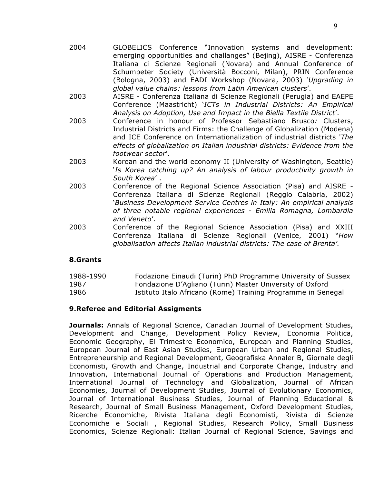- 2004 GLOBELICS Conference "Innovation systems and development: emerging opportunities and challanges" (Bejing), AISRE - Conferenza Italiana di Scienze Regionali (Novara) and Annual Conference of Schumpeter Society (Università Bocconi, Milan), PRIN Conference (Bologna, 2003) and EADI Workshop (Novara, 2003) *'Upgrading in global value chains: lessons from Latin American clusters*'.
- 2003 AISRE Conferenza Italiana di Scienze Regionali (Perugia) and EAEPE Conference (Maastricht) '*ICTs in Industrial Districts: An Empirical Analysis on Adoption, Use and Impact in the Biella Textile District*'.
- 2003 Conference in honour of Professor Sebastiano Brusco*:* Clusters, Industrial Districts and Firms: the Challenge of Globalization (Modena) and ICE Conference on Internationalization of industrial districts '*The effects of globalization on Italian industrial districts: Evidence from the footwear sector*'.
- 2003 Korean and the world economy II (University of Washington, Seattle) '*Is Korea catching up? An analysis of labour productivity growth in South Korea*' .
- 2003 Conference of the Regional Science Association (Pisa) and AISRE Conferenza Italiana di Scienze Regionali (Reggio Calabria, 2002) '*Business Development Service Centres in Italy: An empirical analysis of three notable regional experiences - Emilia Romagna, Lombardia and Veneto*'.
- 2003 Conference of the Regional Science Association (Pisa) and XXIII Conferenza Italiana di Scienze Regionali (Venice, 2001) "*How globalisation affects Italian industrial districts: The case of Brenta'.*

# **8.Grants**

| 1988-1990 | Fodazione Einaudi (Turin) PhD Programme University of Sussex |
|-----------|--------------------------------------------------------------|
| 1987      | Fondazione D'Agliano (Turin) Master University of Oxford     |
| 1986      | Istituto Italo Africano (Rome) Training Programme in Senegal |

# **9.Referee and Editorial Assigments**

**Journals:** Annals of Regional Science, Canadian Journal of Development Studies, Development and Change, Development Policy Review, Economia Politica, Economic Geography, El Trimestre Economico, European and Planning Studies, European Journal of East Asian Studies, European Urban and Regional Studies, Entrepreneurship and Regional Development, Geografiska Annaler B, Giornale degli Economisti, Growth and Change, Industrial and Corporate Change, Industry and Innovation, International Journal of Operations and Production Management, International Journal of Technology and Globalization, Journal of African Economies, Journal of Development Studies, Journal of Evolutionary Economics, Journal of International Business Studies, Journal of Planning Educational & Research, Journal of Small Business Management, Oxford Development Studies, Ricerche Economiche, Rivista Italiana degli Economisti, Rivista di Scienze Economiche e Sociali , Regional Studies, Research Policy, Small Business Economics, Scienze Regionali: Italian Journal of Regional Science, Savings and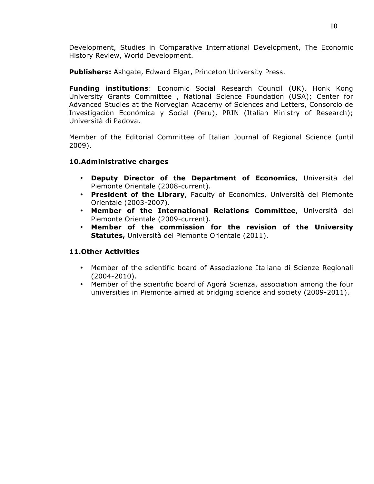Development, Studies in Comparative International Development, The Economic History Review, World Development.

**Publishers:** Ashgate, Edward Elgar, Princeton University Press.

**Funding institutions**: Economic Social Research Council (UK), Honk Kong University Grants Committee , National Science Foundation (USA); Center for Advanced Studies at the Norvegian Academy of Sciences and Letters, Consorcio de Investigación Económica y Social (Peru), PRIN (Italian Ministry of Research); Università di Padova.

Member of the Editorial Committee of Italian Journal of Regional Science (until 2009).

# **10.Administrative charges**

- **Deputy Director of the Department of Economics**, Università del Piemonte Orientale (2008-current).
- **President of the Library**, Faculty of Economics, Università del Piemonte Orientale (2003-2007).
- **Member of the International Relations Committee**, Università del Piemonte Orientale (2009-current).
- **Member of the commission for the revision of the University Statutes,** Università del Piemonte Orientale (2011).

# **11.Other Activities**

- Member of the scientific board of Associazione Italiana di Scienze Regionali (2004-2010).
- Member of the scientific board of Agorà Scienza, association among the four universities in Piemonte aimed at bridging science and society (2009-2011).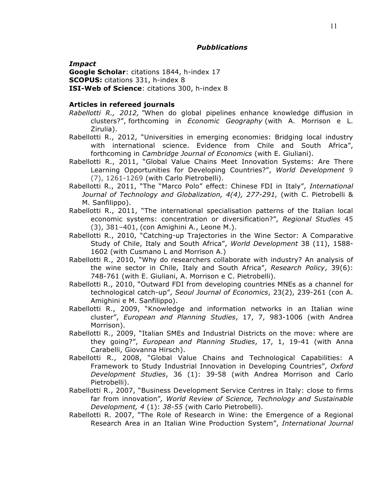*Impact*

**Google Scholar**: citations 1844, h-index 17

**SCOPUS:** citations 331, h-index 8

**ISI-Web of Science**: citations 300, h-index 8

### **Articles in refereed journals**

- *Rabellotti R., 2012, "*When do global pipelines enhance knowledge diffusion in clusters?", forthcoming in *Economic Geography* (with A. Morrison e L. Zirulia).
- Rabellotti R., 2012, "Universities in emerging economies: Bridging local industry with international science. Evidence from Chile and South Africa", forthcoming in *Cambridge Journal of Economics* (with E. Giuliani).
- Rabellotti R., 2011, "Global Value Chains Meet Innovation Systems: Are There Learning Opportunities for Developing Countries?", *World Development* 9 (7), 1261-1269 (with Carlo Pietrobelli).
- Rabellotti R., 2011, "The "Marco Polo" effect: Chinese FDI in Italy", *International Journal of Technology and Globalization, 4(4), 277-291,* (with C. Pietrobelli & M. Sanfilippo).
- Rabellotti R., 2011, "The international specialisation patterns of the Italian local economic systems: concentration or diversification?", *Regional Studies* 45 (3), 381–401, (con Amighini A., Leone M.).
- Rabellotti R., 2010, "Catching-up Trajectories in the Wine Sector: A Comparative Study of Chile, Italy and South Africa", *World Development* 38 (11), 1588- 1602 (with Cusmano L and Morrison A.)
- Rabellotti R., 2010, "Why do researchers collaborate with industry? An analysis of the wine sector in Chile, Italy and South Africa", *Research Policy*, 39(6): 748-761 (with E. Giuliani, A. Morrison e C. Pietrobelli).
- Rabellotti R., 2010, "Outward FDI from developing countries MNEs as a channel for technological catch-up", *Seoul Journal of Economics*, 23(2), 239-261 (con A. Amighini e M. Sanfilippo).
- Rabellotti R., 2009, "Knowledge and information networks in an Italian wine cluster", *European and Planning Studies*, 17, 7, 983-1006 (with Andrea Morrison).
- Rabellotti R., 2009, "Italian SMEs and Industrial Districts on the move: where are they going?", *European and Planning Studies*, 17, 1, 19-41 (with Anna Carabelli, Giovanna Hirsch).
- Rabellotti R., 2008, "Global Value Chains and Technological Capabilities: A Framework to Study Industrial Innovation in Developing Countries", *Oxford Development Studies*, 36 (1): 39-58 (with Andrea Morrison and Carlo Pietrobelli).
- Rabellotti R., 2007, "Business Development Service Centres in Italy: close to firms far from innovation"*, World Review of Science, Technology and Sustainable Development, 4* (1): *38-55* (with Carlo Pietrobelli).
- Rabellotti R. 2007, "The Role of Research in Wine: the Emergence of a Regional Research Area in an Italian Wine Production System", *International Journal*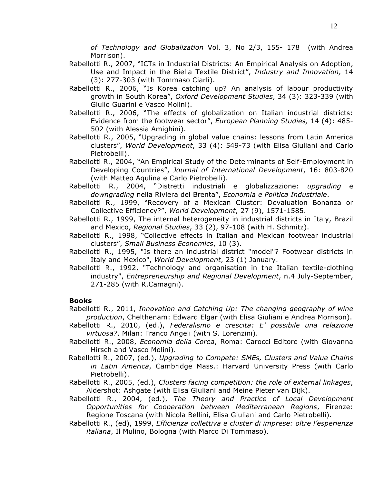*of Technology and Globalization* Vol. 3, No 2/3, 155- 178 (with Andrea Morrison).

- Rabellotti R., 2007, "ICTs in Industrial Districts: An Empirical Analysis on Adoption, Use and Impact in the Biella Textile District", *Industry and Innovation,* 14 (3): 277-303 (with Tommaso Ciarli).
- Rabellotti R., 2006, "Is Korea catching up? An analysis of labour productivity growth in South Korea", *Oxford Development Studies*, 34 (3): 323-339 (with Giulio Guarini e Vasco Molini).
- Rabellotti R., 2006, "The effects of globalization on Italian industrial districts: Evidence from the footwear sector", *European Planning Studies,* 14 (4): 485- 502 (with Alessia Amighini).
- Rabellotti R., 2005, "Upgrading in global value chains: lessons from Latin America clusters", *World Development*, 33 (4): 549-73 (with Elisa Giuliani and Carlo Pietrobelli).
- Rabellotti R., 2004, "An Empirical Study of the Determinants of Self-Employment in Developing Countries", *Journal of International Development*, 16: 803-820 (with Matteo Aqulina e Carlo Pietrobelli).
- Rabellotti R., 2004, "Distretti industriali e globalizzazione: *upgrading* e *downgrading* nella Riviera del Brenta", *Economia e Politica Industriale*.
- Rabellotti R., 1999, "Recovery of a Mexican Cluster: Devaluation Bonanza or Collective Efficiency?", *World Development*, 27 (9), 1571-1585.
- Rabellotti R., 1999, The internal heterogeneity in industrial districts in Italy, Brazil and Mexico, *Regional Studies*, 33 (2), 97-108 (with H. Schmitz).
- Rabellotti R., 1998, "Collective effects in Italian and Mexican footwear industrial clusters", *Small Business Economics*, 10 (3).
- Rabellotti R., 1995, "Is there an industrial district "model"? Footwear districts in Italy and Mexico", *World Development*, 23 (1) January.
- Rabellotti R., 1992, "Technology and organisation in the Italian textile-clothing industry", *Entrepreneurship and Regional Development*, n.4 July-September, 271-285 (with R.Camagni).

# **Books**

- Rabellotti R., 2011, *Innovation and Catching Up: The changing geography of wine production*, Chelthenam: Edward Elgar (with Elisa Giuliani e Andrea Morrison).
- Rabellotti R., 2010, (ed.), *Federalismo e crescita: E' possibile una relazione virtuosa?*, Milan: Franco Angeli (with S. Lorenzini).
- Rabellotti R., 2008, *Economia della Corea*, Roma: Carocci Editore (with Giovanna Hirsch and Vasco Molini).
- Rabellotti R., 2007, (ed.), *Upgrading to Compete: SMEs, Clusters and Value Chains in Latin America*, Cambridge Mass.: Harvard University Press (with Carlo Pietrobelli).
- Rabellotti R., 2005, (ed.), *Clusters facing competition: the role of external linkages*, Aldershot: Ashgate (with Elisa Giuliani and Meine Pieter van Dijk).
- Rabellotti R., 2004, (ed.), *The Theory and Practice of Local Development Opportunities for Cooperation between Mediterranean Regions*, Firenze: Regione Toscana (with Nicola Bellini, Elisa Giuliani and Carlo Pietrobelli).
- Rabellotti R., (ed), 1999, *Efficienza collettiva e cluster di imprese: oltre l'esperienza italiana*, Il Mulino, Bologna (with Marco Di Tommaso).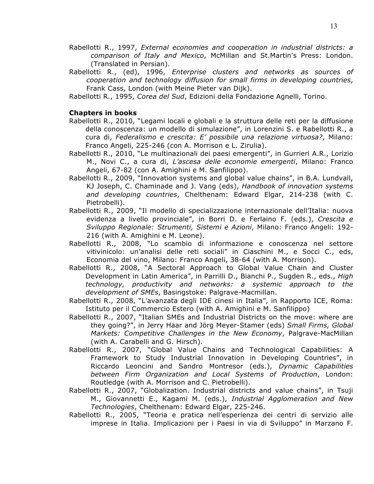- Rabellotti R., 1997, *External economies and cooperation in industrial districts: a comparison of Italy and Mexico*, McMillan and St.Martin's Press: London. (Translated in Persian).
- Rabellotti R., (ed), 1996, *Enterprise clusters and networks as sources of cooperation and technology diffusion for small firms in developing countries*, Frank Cass, London (with Meine Pieter van Dijk).
- Rabellotti R., 1995, *Corea del Sud*, Edizioni della Fondazione Agnelli, Torino.

#### **Chapters in books**

- Rabellotti R., 2010, "Legami locali e globali e la struttura delle reti per la diffusione della conoscenza: un modello di simulazione", in Lorenzini S. e Rabellotti R., a cura di, *Federalismo e crescita: E' possibile una relazione virtuosa?*, Milano: Franco Angeli, 225-246 (con A. Morrison e L. Zirulia).
- Rabellotti R., 2010, "Le multinazionali dei paesi emergenti", in Gurrieri A.R., Lorizio M., Novi C., a cura di, *L'ascesa delle economie emergenti*, Milano: Franco Angeli, 67-82 (con A. Amighini e M. Sanfilippo).
- Rabellotti R., 2009, "Innovation systems and global value chains", in B.A. Lundvall, KJ Joseph, C. Chaminade and J. Vang (eds), *Handbook of innovation systems and developing countries*, Chelthenam: Edward Elgar, 214-238 (with C. Pietrobelli).
- Rabellotti R., 2009, "Il modello di specializzazione internazionale dell'Italia: nuova evidenza a livello provinciale", in Borri D. e Ferlaino F. (eds.), *Crescita e Sviluppo Regionale: Strumenti, Sistemi e Azioni*, Milano: Franco Angeli: 192- 216 (with A. Amighini e M. Leone).
- Rabellotti R., 2008, "Lo scambio di informazione e conoscenza nel settore vitivinicolo: un'analisi delle reti sociali" in Ciaschini M., e Socci C., eds, Economia del vino, Milano: Franco Angeli, 38-64 (with A. Morrison).
- Rabellotti R., 2008, "A Sectoral Approach to Global Value Chain and Cluster Development in Latin America", in Parrilli D., Bianchi P., Sugden R., eds., *High technology, productivity and networks: a systemic approach to the development of SMEs*, Basingstoke: Palgrave-Macmillan.
- Rabellotti R., 2008, "L'avanzata degli IDE cinesi in Italia", in Rapporto ICE, Roma: Istituto per il Commercio Estero (with A. Amighini e M. Sanfilippo)
- Rabellotti R., 2007, "Italian SMEs and Industrial Districts on the move: where are they going?", in Jerry Haar and Jörg Meyer-Stamer (eds) *Small Firms, Global Markets: Competitive Challenges in the New Economy*, Palgrave-MacMillan (with A. Carabelli and G. Hirsch).
- Rabellotti R., 2007, "Global Value Chains and Technological Capabilities: A Framework to Study Industrial Innovation in Developing Countries", in Riccardo Leoncini and Sandro Montresor (eds.), *Dynamic Capabilities between Firm Organization and Local Systems of Production*, London: Routledge (with A. Morrison and C. Pietrobelli).
- Rabellotti R., 2007, "Globalization. Industrial districts and value chains", in Tsuji M., Giovannetti E., Kagami M. (eds.), *Industrial Agglomeration and New Technologies*, Chelthenam: Edward Elgar, 225-246.
- Rabellotti R., 2005, "Teoria e pratica nell'esperienza dei centri di servizio alle imprese in Italia. Implicazioni per i Paesi in via di Sviluppo" in Marzano F.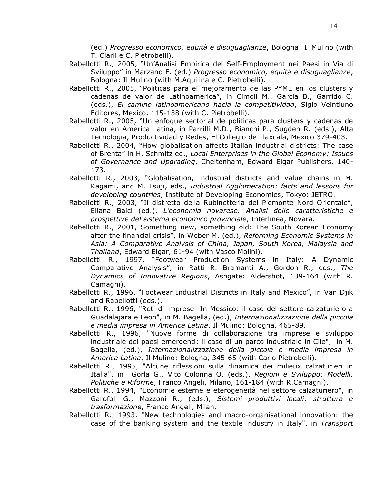(ed.) *Progresso economico, equità e disuguaglianze*, Bologna: Il Mulino (with T. Ciarli e C. Pietrobelli).

- Rabellotti R., 2005, "Un'Analisi Empirica del Self-Employment nei Paesi in Via di Sviluppo" in Marzano F. (ed.) *Progresso economico, equità e disuguaglianze*, Bologna: Il Mulino (with M.Aquilina e C. Pietrobelli).
- Rabellotti R., 2005, "Politicas para el mejoramento de las PYME en los clusters y cadenas de valor de Latinoamerica", in Cimoli M., Garcia B., Garrido C. (eds.), *El camino latinoamericano hacia la competitividad*, Siglo Veintiuno Editores, Mexico, 115-138 (with C. Pietrobelli).
- Rabellotti R., 2005, "Un enfoque sectorial de politicas para clusters y cadenas de valor en America Latina, in Parrilli M.D., Bianchi P., Sugden R. (eds.), Alta Tecnologia, Productividad y Redes, El Collegio de Tlaxcala, Mexico 379-403.
- Rabellotti R., 2004, "How globalisation affects Italian industrial districts: The case of Brenta" in H. Schmitz ed., *Local Enterprises in the Global Economy: Issues of Governance and Upgrading*, Cheltenham, Edward Elgar Publishers, 140- 173.
- Rabellotti R., 2003, "Globalisation, industrial districts and value chains in M. Kagami, and M. Tsuji, eds., *Industrial Agglomeration: facts and lessons for developing countries*, Institute of Developing Economies, Tokyo: JETRO.
- Rabellotti R., 2003, "Il distretto della Rubinetteria del Piemonte Nord Orientale", Eliana Baici (ed.), *L'economia novarese. Analisi delle caratteristiche e prospettive del sistema economico provinciale*, Interlinea, Novara.
- Rabellotti R., 2001, Something new, something old: The South Korean Economy after the financial crisis", in Weber M. (ed.), *Reforming Economic Systems in Asia: A Comparative Analysis of China, Japan, South Korea, Malaysia and Thailand*, Edward Elgar, 61-94 (with Vasco Molini).
- Rabellotti R., 1997, "Footwear Production Systems in Italy: A Dynamic Comparative Analysis", in Ratti R. Bramanti A., Gordon R., eds., *The Dynamics of Innovative Regions*, Ashgate: Aldershot, 139-164 (with R. Camagni).
- Rabellotti R., 1996, "Footwear Industrial Districts in Italy and Mexico", in Van Djik and Rabellotti (eds.).
- Rabellotti R., 1996, "Reti di imprese In Messico: il caso del settore calzaturiero a Guadalajara e Leon", in M. Bagella, (ed.), *Internazionalizzazione della piccola e media impresa in America Latina*, Il Mulino: Bologna, 465-89.
- Rabellotti R., 1996, "Nuove forme di collaborazione tra imprese e sviluppo industriale del paesi emergenti: il caso di un parco industriale in Cile", in M. Bagella, (ed.), *Internazionalizzazione della piccola e media impresa in America Latina*, Il Mulino: Bologna, 345-65 (with Carlo Pietrobelli).
- Rabellotti R., 1995, "Alcune riflessioni sulla dinamica dei milieux calzaturieri in Italia", in Gorla G., Vito Colonna O. (eds.), *Regioni e Sviluppo: Modelli. Politiche e Riforme*, Franco Angeli, Milano, 161-184 (with R.Camagni).
- Rabellotti R., 1994, "Economie esterne e eterogeneità nel settore calzaturiero", in Garofoli G., Mazzoni R., (eds.), *Sistemi produttivi locali: struttura e trasformazione*, Franco Angeli, Milan.
- Rabellotti R., 1993, "New technologies and macro-organisational innovation: the case of the banking system and the textile industry in Italy", in *Transport*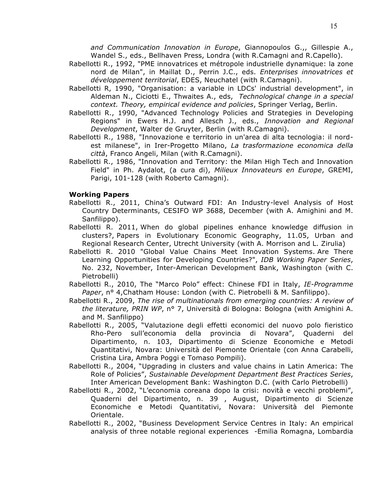*and Communication Innovation in Europe*, Giannopoulos G.,, Gillespie A., Wandel S., eds., Bellhaven Press, Londra (with R.Camagni and R.Capello).

- Rabellotti R., 1992, "PME innovatrices et métropole industrielle dynamique: la zone nord de Milan", in Maillat D., Perrin J.C., eds. *Enterprises innovatrices et développement territorial*, EDES, Neuchatel (with R.Camagni).
- Rabellotti R, 1990, "Organisation: a variable in LDCs' industrial development", in Aldeman N., Ciciotti E., Thwaites A., eds, *Technological change in a special context. Theory, empirical evidence and policies*, Springer Verlag, Berlin.
- Rabellotti R., 1990, "Advanced Technology Policies and Strategies in Developing Regions" in Ewers H.J. and Allesch J., eds., *Innovation and Regional Development*, Walter de Gruyter, Berlin (with R.Camagni).
- Rabellotti R., 1988, "Innovazione e territorio in un'area di alta tecnologia: il nordest milanese", in Irer-Progetto Milano, *La trasformazione economica della città*, Franco Angeli, Milan (with R.Camagni).
- Rabellotti R., 1986, "Innovation and Territory: the Milan High Tech and Innovation Field" in Ph. Aydalot, (a cura di), *Milieux Innovateurs en Europe*, GREMI, Parigi, 101-128 (with Roberto Camagni).

#### **Working Papers**

- Rabellotti R., 2011, China's Outward FDI: An Industry-level Analysis of Host Country Determinants, CESIFO WP 3688, December (with A. Amighini and M. Sanfilippo).
- Rabellotti R. 2011, When do global pipelines enhance knowledge diffusion in clusters?, Papers in Evolutionary Economic Geography, 11.05, Urban and Regional Research Center, Utrecht University (with A. Morrison and L. Zirulia)
- Rabellotti R. 2010 "Global Value Chains Meet Innovation Systems. Are There Learning Opportunities for Developing Countries?", *IDB Working Paper Series*, No. 232, November, Inter-American Development Bank, Washington (with C. Pietrobelli)
- Rabellotti R., 2010, The "Marco Polo" effect: Chinese FDI in Italy, *IE-Programme Paper*, n° 4,Chatham House: London (with C. Pietrobelli & M. Sanfilippo).
- Rabellotti R., 2009, *The rise of multinationals from emerging countries: A review of the literature, PRIN WP*, n° 7, Università di Bologna: Bologna (with Amighini A. and M. Sanfilippo)
- Rabellotti R., 2005, "Valutazione degli effetti economici del nuovo polo fieristico Rho-Pero sull'economia della provincia di Novara", Quaderni del Dipartimento, n. 103, Dipartimento di Scienze Economiche e Metodi Quantitativi, Novara: Università del Piemonte Orientale (con Anna Carabelli, Cristina Lira, Ambra Poggi e Tomaso Pompili).
- Rabellotti R., 2004, "Upgrading in clusters and value chains in Latin America: The Role of Policies", *Sustainable Development Department Best Practices Series*, Inter American Development Bank: Washington D.C. (with Carlo Pietrobelli)
- Rabellotti R., 2002, "L'economia coreana dopo la crisi: novità e vecchi problemi", Quaderni del Dipartimento, n. 39 , August, Dipartimento di Scienze Economiche e Metodi Quantitativi, Novara: Università del Piemonte Orientale.
- Rabellotti R., 2002, "Business Development Service Centres in Italy: An empirical analysis of three notable regional experiences -Emilia Romagna, Lombardia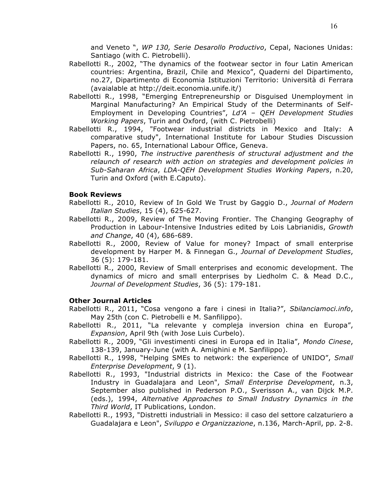and Veneto ", *WP 130, Serie Desarollo Productivo*, Cepal, Naciones Unidas: Santiago (with C. Pietrobelli).

- Rabellotti R., 2002, "The dynamics of the footwear sector in four Latin American countries: Argentina, Brazil, Chile and Mexico", Quaderni del Dipartimento, no.27, Dipartimento di Economia Istituzioni Territorio: Università di Ferrara (avaialable at http://deit.economia.unife.it/)
- Rabellotti R., 1998, "Emerging Entrepreneurship or Disguised Unemployment in Marginal Manufacturing? An Empirical Study of the Determinants of Self-Employment in Developing Countries", *Ld'A – QEH Development Studies Working Papers*, Turin and Oxford, (with C. Pietrobelli)
- Rabellotti R., 1994, "Footwear industrial districts in Mexico and Italy: A comparative study", International Institute for Labour Studies Discussion Papers, no. 65, International Labour Office, Geneva.
- Rabellotti R., 1990, *The instructive parenthesis of structural adjustment and the relaunch of research with action on strategies and development policies in Sub-Saharan Africa*, *LDA-QEH Development Studies Working Papers*, n.20, Turin and Oxford (with E.Caputo).

## **Book Reviews**

- Rabellotti R., 2010, Review of In Gold We Trust by Gaggio D., *Journal of Modern Italian Studies*, 15 (4), 625-627.
- Rabellotti R., 2009, Review of The Moving Frontier. The Changing Geography of Production in Labour-Intensive Industries edited by Lois Labrianidis, *Growth and Change*, 40 (4), 686-689.
- Rabellotti R., 2000, Review of Value for money? Impact of small enterprise development by Harper M. & Finnegan G., *Journal of Development Studies*, 36 (5): 179-181.
- Rabellotti R., 2000, Review of Small enterprises and economic development. The dynamics of micro and small enterprises by Liedholm C. & Mead D.C., *Journal of Development Studies*, 36 (5): 179-181.

# **Other Journal Articles**

- Rabellotti R., 2011, "Cosa vengono a fare i cinesi in Italia?", *Sbilanciamoci.info*, May 25th (con C. Pietrobelli e M. Sanfilippo).
- Rabellotti R., 2011, "La relevante y compleja inversion china en Europa", *Expansion*, April 9th (with Jose Luis Curbelo).
- Rabellotti R., 2009, "Gli investimenti cinesi in Europa ed in Italia", *Mondo Cinese*, 138-139, January-June (with A. Amighini e M. Sanfilippo).
- Rabellotti R., 1998, "Helping SMEs to network: the experience of UNIDO", *Small Enterprise Development*, 9 (1).
- Rabellotti R., 1993, "Industrial districts in Mexico: the Case of the Footwear Industry in Guadalajara and Leon", *Small Enterprise Development*, n.3, September also published in Pederson P.O., Sverisson A., van Dijck M.P. (eds.), 1994, *Alternative Approaches to Small Industry Dynamics in the Third World*, IT Publications, London.
- Rabellotti R., 1993, "Distretti industriali in Messico: il caso del settore calzaturiero a Guadalajara e Leon", *Sviluppo e Organizzazione*, n.136, March-April, pp. 2-8.